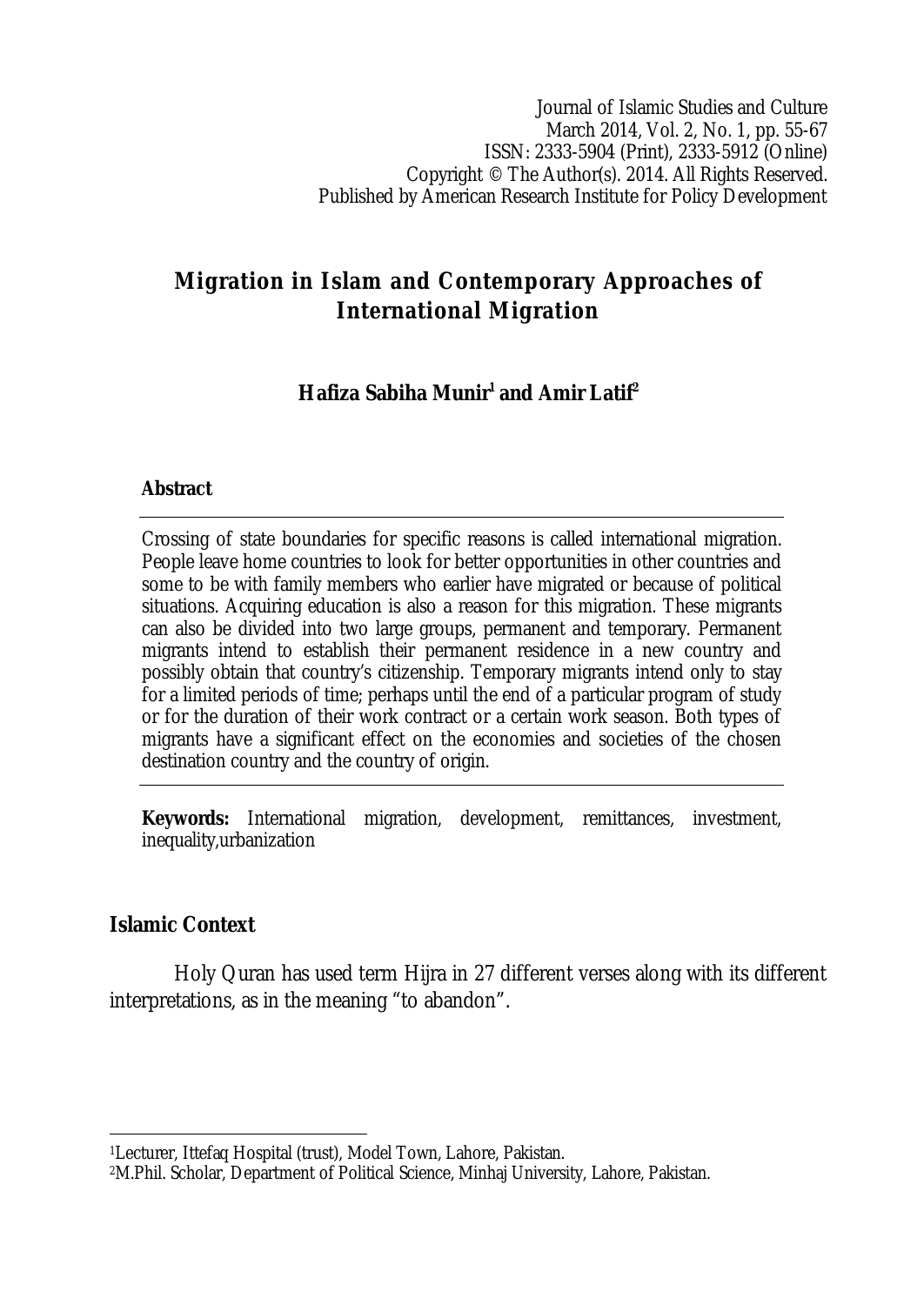Journal of Islamic Studies and Culture March 2014, Vol. 2, No. 1, pp. 55-67 ISSN: 2333-5904 (Print), 2333-5912 (Online) Copyright © The Author(s). 2014. All Rights Reserved. Published by American Research Institute for Policy Development

# **Migration in Islam and Contemporary Approaches of International Migration**

# **Hafiza Sabiha Munir<sup>1</sup> and Amir Latif<sup>2</sup>**

#### **Abstract**

Crossing of state boundaries for specific reasons is called international migration. People leave home countries to look for better opportunities in other countries and some to be with family members who earlier have migrated or because of political situations. Acquiring education is also a reason for this migration. These migrants can also be divided into two large groups, permanent and temporary. Permanent migrants intend to establish their permanent residence in a new country and possibly obtain that country's citizenship. Temporary migrants intend only to stay for a limited periods of time; perhaps until the end of a particular program of study or for the duration of their work contract or a certain work season. Both types of migrants have a significant effect on the economies and societies of the chosen destination country and the country of origin.

**Keywords:** International migration, development, remittances, investment, inequality,urbanization

### **Islamic Context**

 $\overline{\phantom{a}}$ 

Holy Quran has used term Hijra in 27 different verses along with its different interpretations, as in the meaning "to abandon".

<sup>1</sup>Lecturer, Ittefaq Hospital (trust), Model Town, Lahore, Pakistan.

<sup>2</sup>M.Phil. Scholar, Department of Political Science, Minhaj University, Lahore, Pakistan.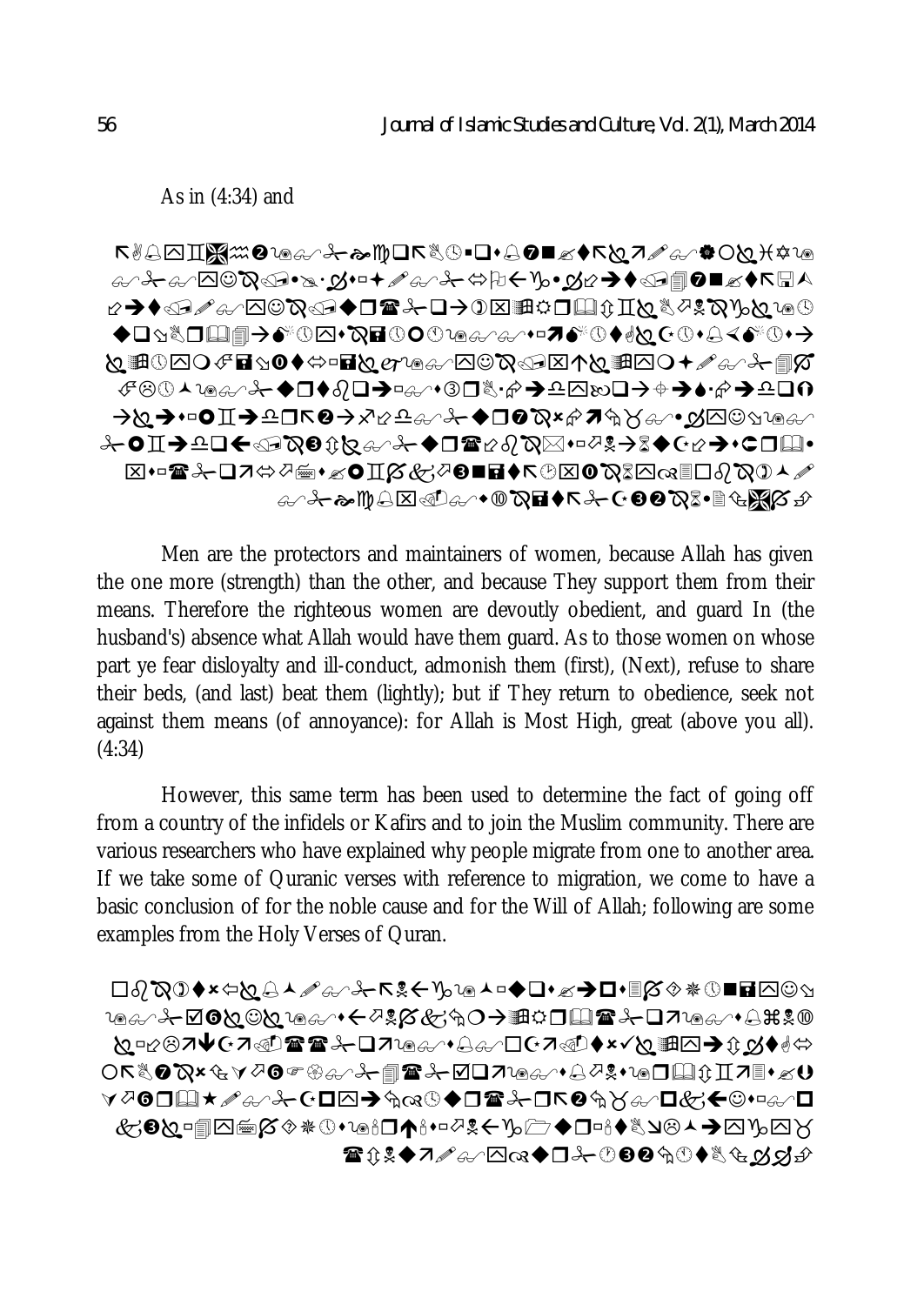As in (4:34) and

 **♧<sub></sub>** 美♧୵◚☺ឃ៶ ◆□☆☆□□■→♪☆◎□•☆■①○○◎⊕∞∞→□■♪☆◎◆☆☆○●●☆☆☆☆→ <sub></sub><sub>⊁</sub>ㅇⅡ→≏□←ા???☆☆☆↑←●□☎☆??♡☆☆☆↑?↑↑↑ ▧◂▫☎⊁◻◸ٰ☆∅▦◂◿◐◨์์์์์୪ਲ਼◑◼◼◕ਨ◷▧◐ுිිූଯര▦◻◊ි♡ **47⊁&₩85€€€€€€€€€€€€€€€€€€** 

Men are the protectors and maintainers of women, because Allah has given the one more (strength) than the other, and because They support them from their means. Therefore the righteous women are devoutly obedient, and guard In (the husband's) absence what Allah would have them guard. As to those women on whose part ye fear disloyalty and ill-conduct, admonish them (first), (Next), refuse to share their beds, (and last) beat them (lightly); but if They return to obedience, seek not against them means (of annoyance): for Allah is Most High, great (above you all). (4:34)

However, this same term has been used to determine the fact of going off from a country of the infidels or Kafirs and to join the Muslim community. There are various researchers who have explained why people migrate from one to another area. If we take some of Quranic verses with reference to migration, we come to have a basic conclusion of for the noble cause and for the Will of Allah; following are some examples from the Holy Verses of Quran.

 **796A + 20000000+++2%%G+0→ #000 2+07106/+8#%0**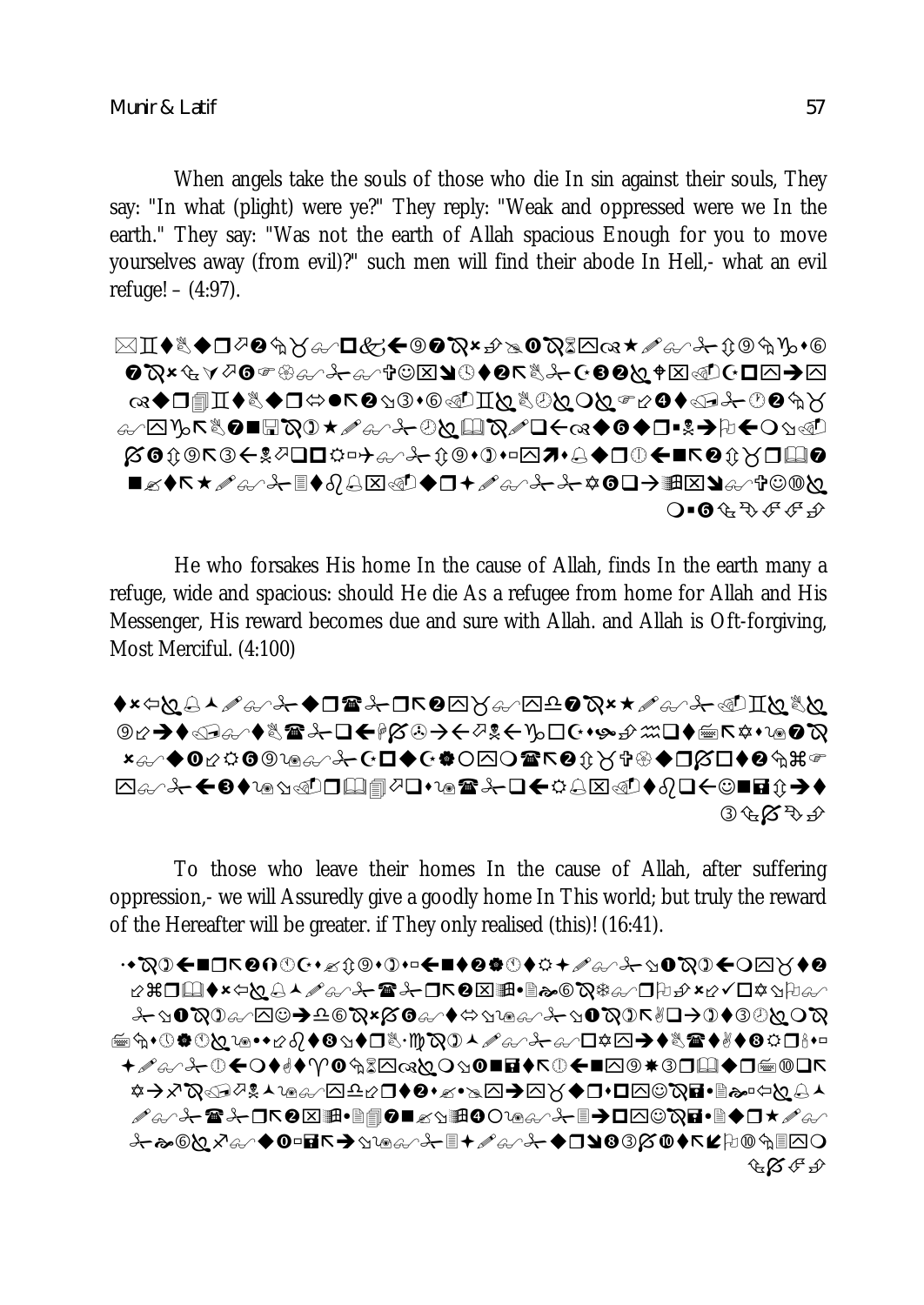When angels take the souls of those who die In sin against their souls, They say: "In what (plight) were ye?" They reply: "Weak and oppressed were we In the earth." They say: "Was not the earth of Allah spacious Enough for you to move yourselves away (from evil)?" such men will find their abode In Hell,- what an evil refuge! – (4:97).

 **]</u>۞फ**€घ◘€⊠∉⊻<del>€</del>®®€€€≥®∮®©€घे©<del>°</del> **|X0**00R3←!?QQQ☆□→?/\*0000000D?+Q◆QQ¥■R00XQQ ◼**◿♦↖★**⇗♧╱<del>ಚ</del>€♦∂ط۞<del>◁</del>◘◆◻+<del>⇗</del>♧╱<del>ಚ</del>⊀◑◻→▦▨◕♧◜</u>†☺<u>◎</u>ष  $O$  =  $\mathbf{0}$   $\mathbf{\hat{H}}$   $\mathbf{\hat{H}}$   $\mathbf{\hat{F}}$   $\mathbf{\hat{F}}$   $\mathbf{\hat{F}}$ 

He who forsakes His home In the cause of Allah, finds In the earth many a refuge, wide and spacious: should He die As a refugee from home for Allah and His Messenger, His reward becomes due and sure with Allah. and Allah is Oft-forgiving, Most Merciful. (4:100)

♦∗⇦Юِ↳▴⇗♤<sub></sub>Ε ♣ D۞۞۞۞۞۞<del></del> **಄☆♪♦௵**♪</del>♨☎ౣ<del></u>ン□←/α?♪←♡?←♪©™←♪₩□♦<u>™</u>∠₽₩</del> ӿ♧୵♦◑⇙ុ៰౷៶⋒ୡ୵℀₢◘♦₢₱○⊠ଠ☎↖◕ុਮॏॷ◈♦□∅□♦◕ុ҈ӝ  $\circledcirc \circledcirc \circledcirc \circledcirc$ 

To those who leave their homes In the cause of Allah, after suffering oppression,- we will Assuredly give a goodly home In This world; but truly the reward of the Hereafter will be greater. if They only realised (this)! (16:41).

◦ρ♦X⊡α€∎₫₫₫₫₫₫₫₫₫₽₽₫₽₹₽₫₫₫₫₫₽₫₫₩₽₫₽■<del>₩</del>₽₽₽₩₽₽ *◢♧*◞<del></del>⊁☎⊁◻↖◕⊠▦•▤▤◕◼<u>◿</u>◹▦◑◑<u>◶</u>◶◞<del></del>-▤◕◻◚◙◹◪•▤♦◻▾◢<del>◶</del> **⊹<sub></sup>≁</del>≈©<u>Q</u>х&≁◆⊙□፼≤◆**∆™®G∕⊹ <del>"+</del>∠&∕⊹◆□9®⊗∞◆≤⋭₽◎°®</sub> **GB** + D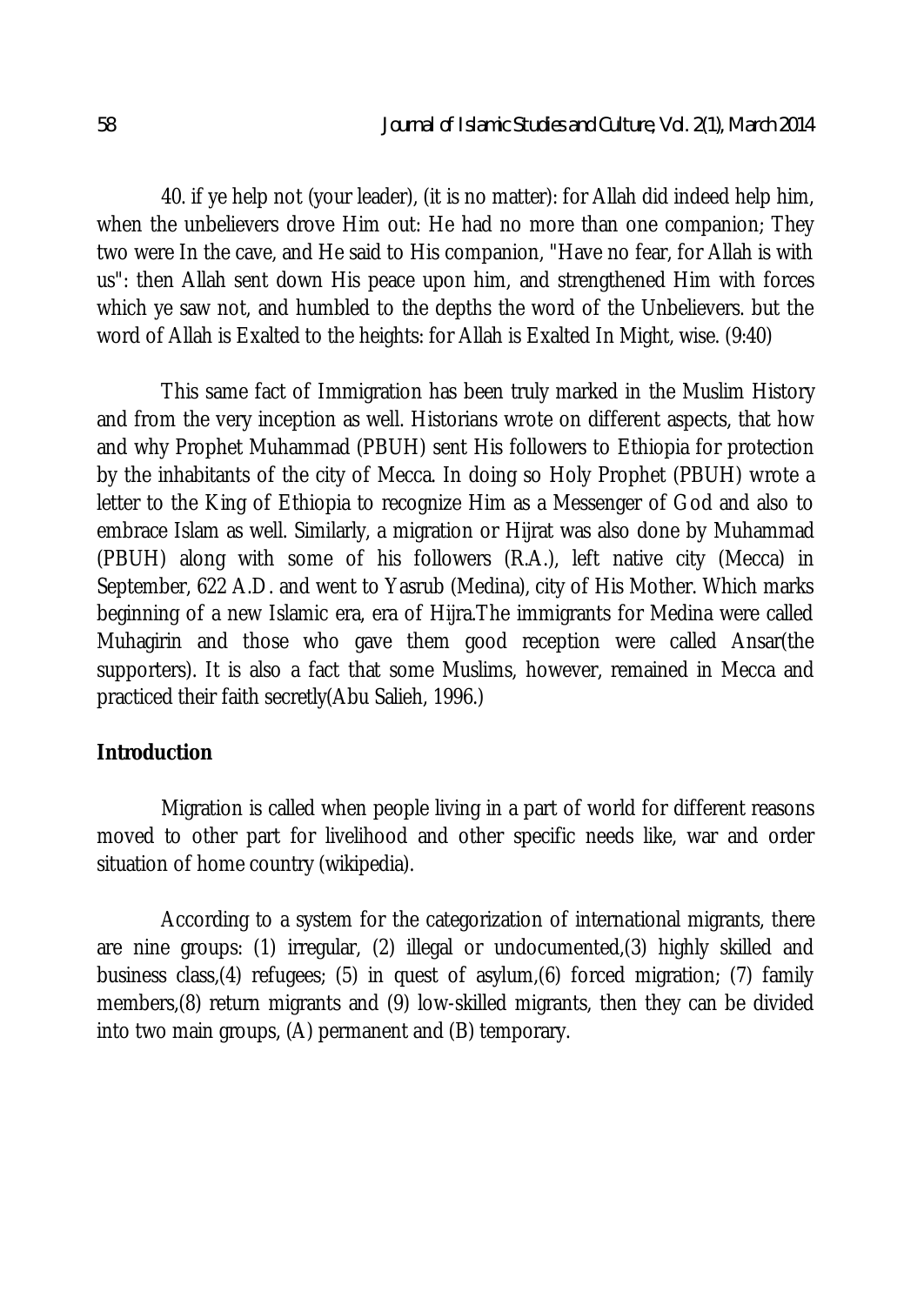40. if ye help not (your leader), (it is no matter): for Allah did indeed help him, when the unbelievers drove Him out: He had no more than one companion; They two were In the cave, and He said to His companion, "Have no fear, for Allah is with us": then Allah sent down His peace upon him, and strengthened Him with forces which ye saw not, and humbled to the depths the word of the Unbelievers. but the word of Allah is Exalted to the heights: for Allah is Exalted In Might, wise. (9:40)

This same fact of Immigration has been truly marked in the Muslim History and from the very inception as well. Historians wrote on different aspects, that how and why Prophet Muhammad (PBUH) sent His followers to Ethiopia for protection by the inhabitants of the city of Mecca. In doing so Holy Prophet (PBUH) wrote a letter to the King of Ethiopia to recognize Him as a Messenger of God and also to embrace Islam as well. Similarly, a migration or Hijrat was also done by Muhammad (PBUH) along with some of his followers (R.A.), left native city (Mecca) in September, 622 A.D. and went to Yasrub (Medina), city of His Mother. Which marks beginning of a new Islamic era, era of Hijra.The immigrants for Medina were called Muhagirin and those who gave them good reception were called Ansar(the supporters). It is also a fact that some Muslims, however, remained in Mecca and practiced their faith secretly(Abu Salieh, 1996.)

### **Introduction**

Migration is called when people living in a part of world for different reasons moved to other part for livelihood and other specific needs like, war and order situation of home country (wikipedia).

According to a system for the categorization of international migrants, there are nine groups: (1) irregular, (2) illegal or undocumented,(3) highly skilled and business class,(4) refugees; (5) in quest of asylum,(6) forced migration; (7) family members,(8) return migrants and (9) low-skilled migrants, then they can be divided into two main groups, (A) permanent and (B) temporary.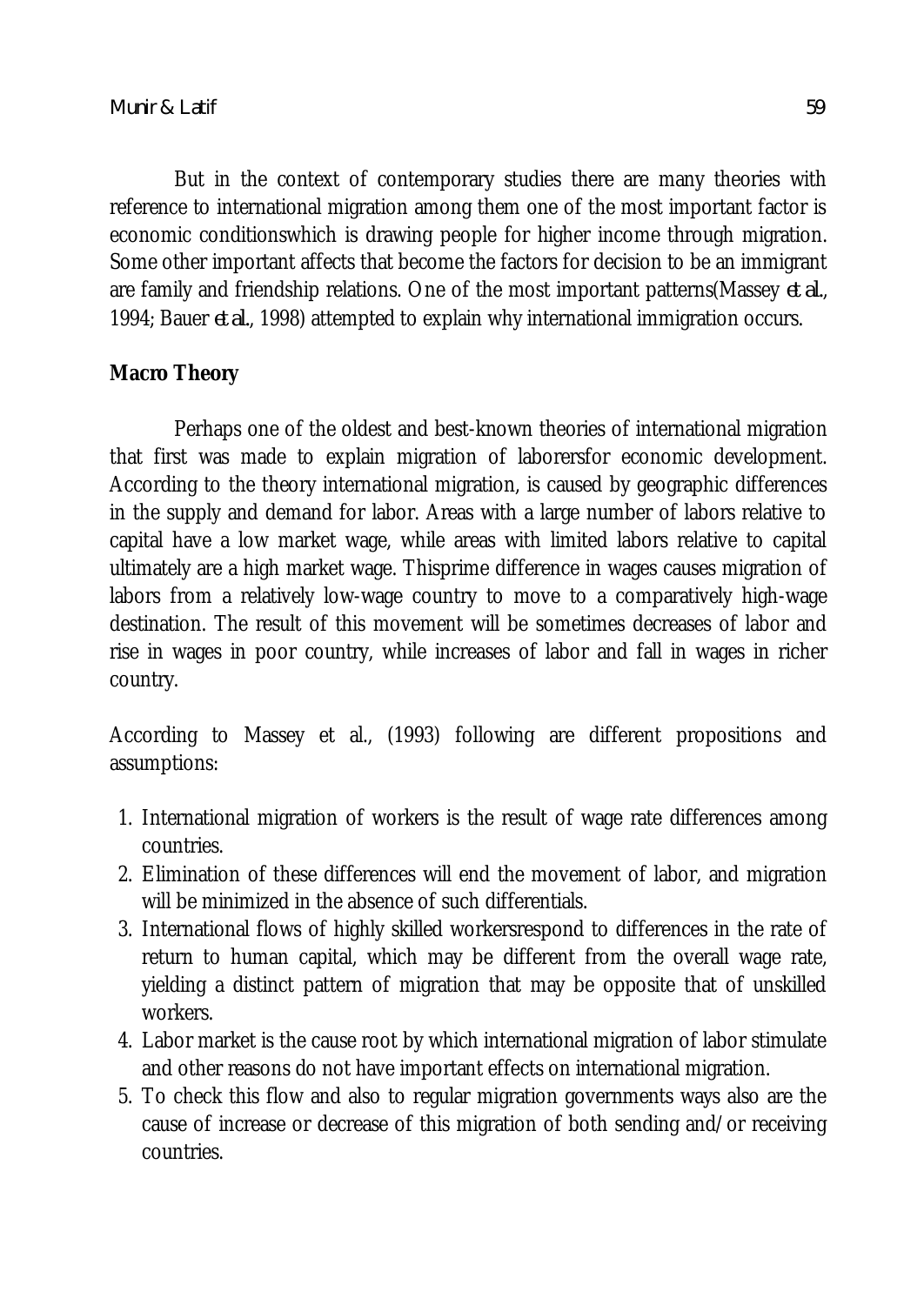But in the context of contemporary studies there are many theories with reference to international migration among them one of the most important factor is economic conditionswhich is drawing people for higher income through migration. Some other important affects that become the factors for decision to be an immigrant are family and friendship relations. One of the most important patterns(Massey *et al.*, 1994; Bauer *et al.*, 1998) attempted to explain why international immigration occurs.

## **Macro Theory**

Perhaps one of the oldest and best-known theories of international migration that first was made to explain migration of laborersfor economic development. According to the theory international migration, is caused by geographic differences in the supply and demand for labor. Areas with a large number of labors relative to capital have a low market wage, while areas with limited labors relative to capital ultimately are a high market wage. Thisprime difference in wages causes migration of labors from a relatively low-wage country to move to a comparatively high-wage destination. The result of this movement will be sometimes decreases of labor and rise in wages in poor country, while increases of labor and fall in wages in richer country.

According to Massey et al., (1993) following are different propositions and assumptions:

- 1. International migration of workers is the result of wage rate differences among countries.
- 2. Elimination of these differences will end the movement of labor, and migration will be minimized in the absence of such differentials.
- 3. International flows of highly skilled workersrespond to differences in the rate of return to human capital, which may be different from the overall wage rate, yielding a distinct pattern of migration that may be opposite that of unskilled workers.
- 4. Labor market is the cause root by which international migration of labor stimulate and other reasons do not have important effects on international migration.
- 5. To check this flow and also to regular migration governments ways also are the cause of increase or decrease of this migration of both sending and/or receiving countries.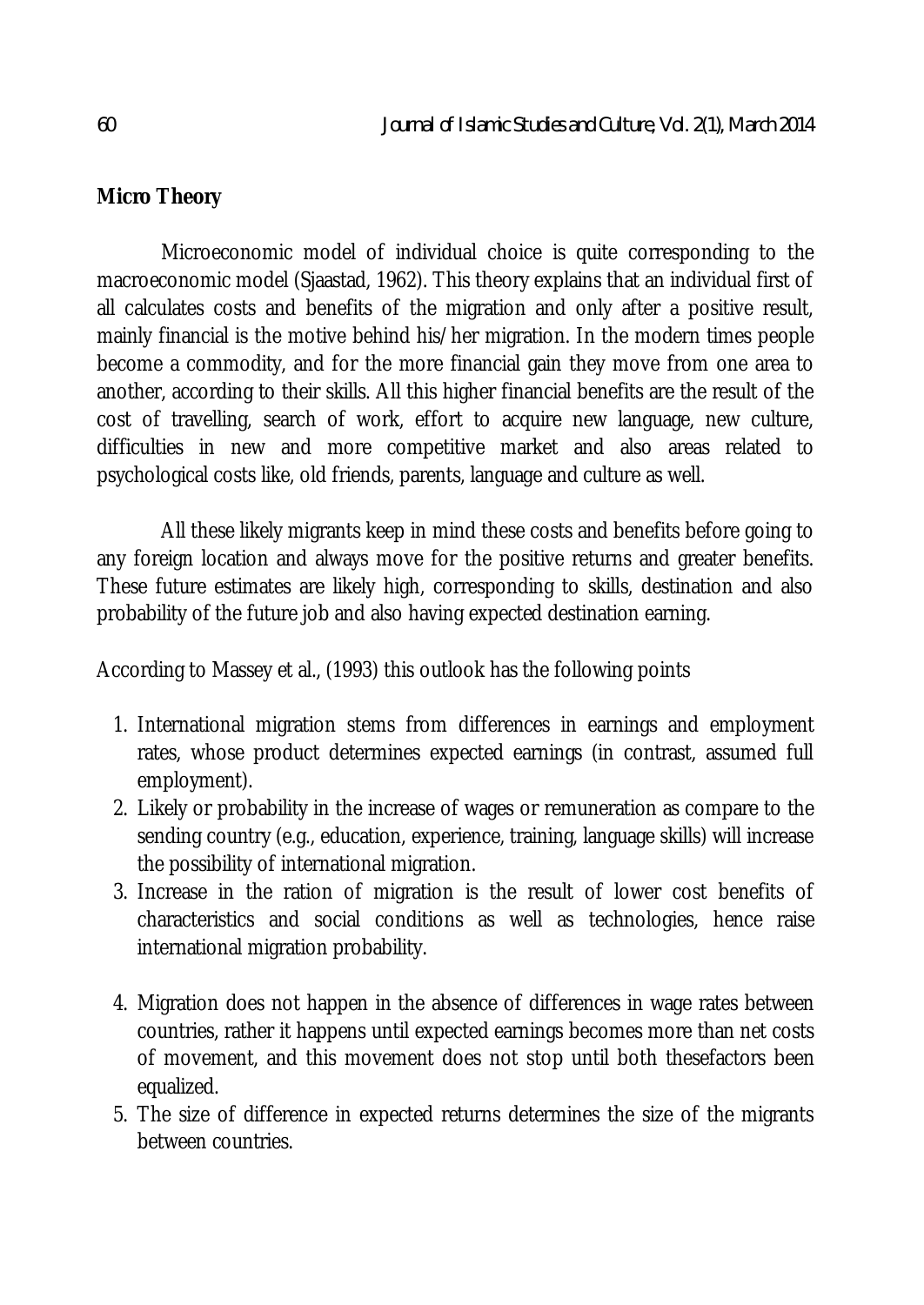## **Micro Theory**

Microeconomic model of individual choice is quite corresponding to the macroeconomic model (Sjaastad, 1962). This theory explains that an individual first of all calculates costs and benefits of the migration and only after a positive result, mainly financial is the motive behind his/her migration. In the modern times people become a commodity, and for the more financial gain they move from one area to another, according to their skills. All this higher financial benefits are the result of the cost of travelling, search of work, effort to acquire new language, new culture, difficulties in new and more competitive market and also areas related to psychological costs like, old friends, parents, language and culture as well.

All these likely migrants keep in mind these costs and benefits before going to any foreign location and always move for the positive returns and greater benefits. These future estimates are likely high, corresponding to skills, destination and also probability of the future job and also having expected destination earning.

According to Massey et al., (1993) this outlook has the following points

- 1. International migration stems from differences in earnings and employment rates, whose product determines expected earnings (in contrast, assumed full employment).
- 2. Likely or probability in the increase of wages or remuneration as compare to the sending country (e.g., education, experience, training, language skills) will increase the possibility of international migration.
- 3. Increase in the ration of migration is the result of lower cost benefits of characteristics and social conditions as well as technologies, hence raise international migration probability.
- 4. Migration does not happen in the absence of differences in wage rates between countries, rather it happens until expected earnings becomes more than net costs of movement, and this movement does not stop until both thesefactors been equalized.
- 5. The size of difference in expected returns determines the size of the migrants between countries.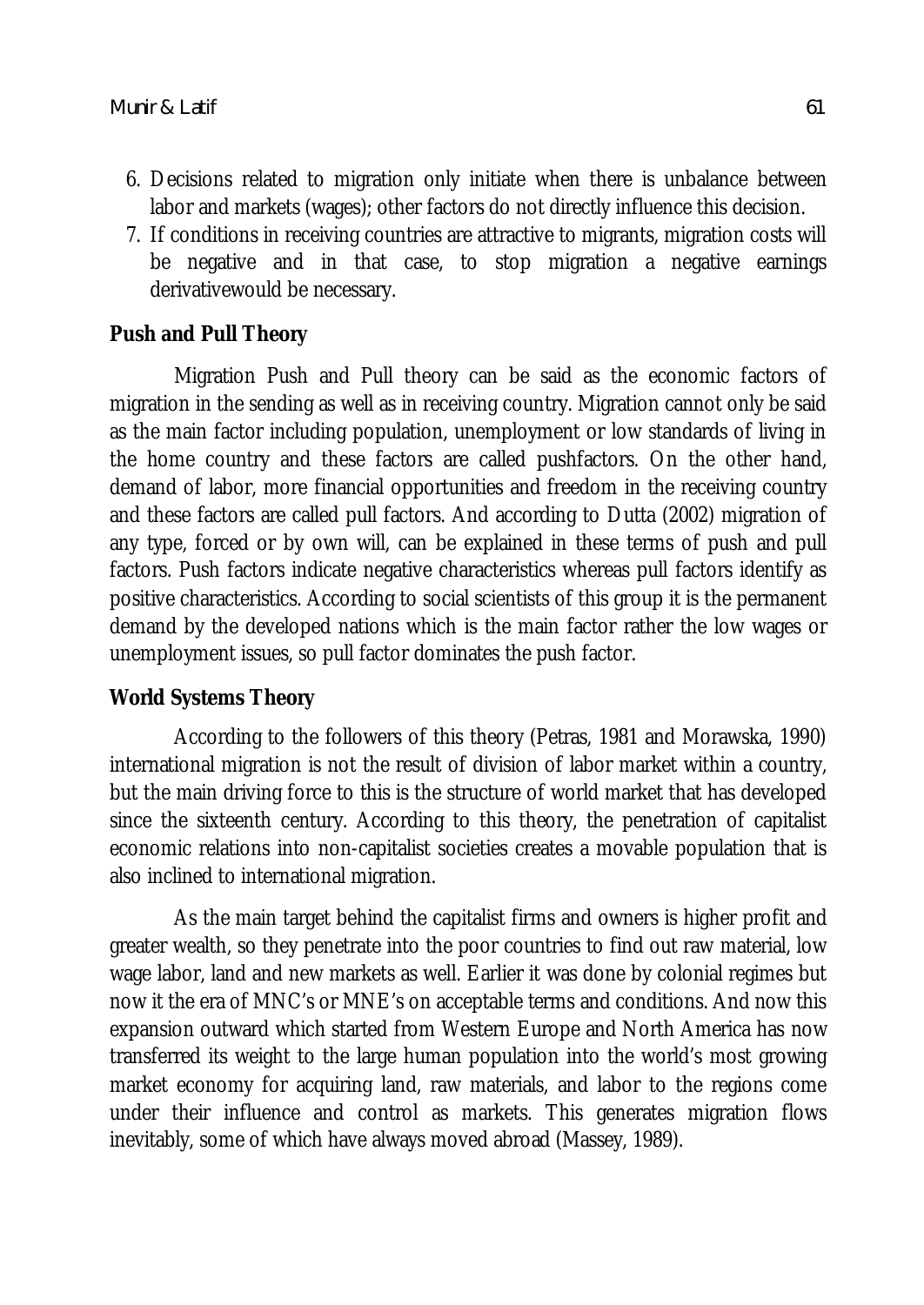- 6. Decisions related to migration only initiate when there is unbalance between labor and markets (wages); other factors do not directly influence this decision.
- 7. If conditions in receiving countries are attractive to migrants, migration costs will be negative and in that case, to stop migration a negative earnings derivativewould be necessary.

## **Push and Pull Theory**

Migration Push and Pull theory can be said as the economic factors of migration in the sending as well as in receiving country. Migration cannot only be said as the main factor including population, unemployment or low standards of living in the home country and these factors are called pushfactors. On the other hand, demand of labor, more financial opportunities and freedom in the receiving country and these factors are called pull factors. And according to Dutta (2002) migration of any type, forced or by own will, can be explained in these terms of push and pull factors. Push factors indicate negative characteristics whereas pull factors identify as positive characteristics. According to social scientists of this group it is the permanent demand by the developed nations which is the main factor rather the low wages or unemployment issues, so pull factor dominates the push factor.

## **World Systems Theory**

According to the followers of this theory (Petras, 1981 and Morawska, 1990) international migration is not the result of division of labor market within a country, but the main driving force to this is the structure of world market that has developed since the sixteenth century. According to this theory, the penetration of capitalist economic relations into non-capitalist societies creates a movable population that is also inclined to international migration.

As the main target behind the capitalist firms and owners is higher profit and greater wealth, so they penetrate into the poor countries to find out raw material, low wage labor, land and new markets as well. Earlier it was done by colonial regimes but now it the era of MNC's or MNE's on acceptable terms and conditions. And now this expansion outward which started from Western Europe and North America has now transferred its weight to the large human population into the world's most growing market economy for acquiring land, raw materials, and labor to the regions come under their influence and control as markets. This generates migration flows inevitably, some of which have always moved abroad (Massey, 1989).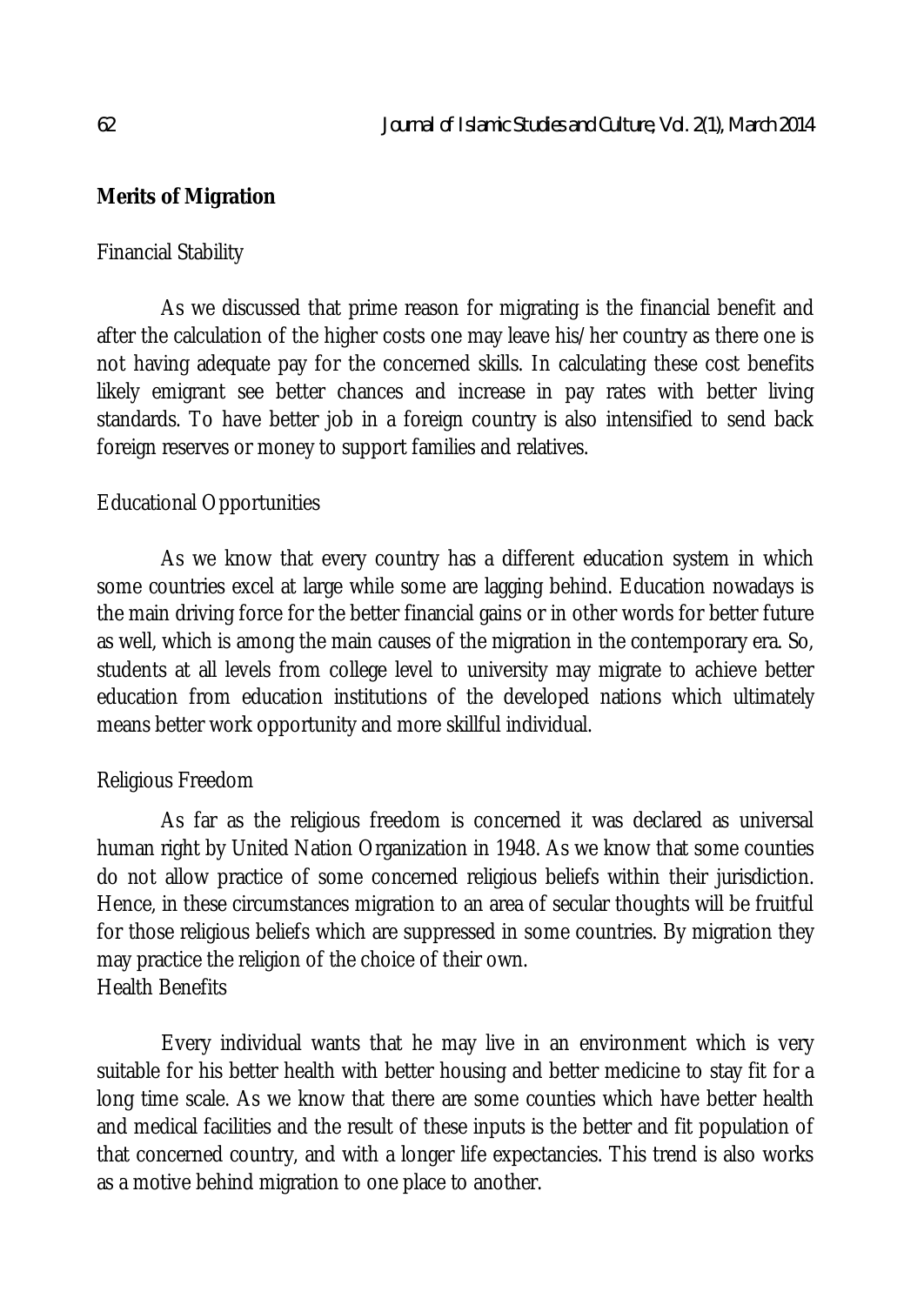### **Merits of Migration**

#### Financial Stability

As we discussed that prime reason for migrating is the financial benefit and after the calculation of the higher costs one may leave his/her country as there one is not having adequate pay for the concerned skills. In calculating these cost benefits likely emigrant see better chances and increase in pay rates with better living standards. To have better job in a foreign country is also intensified to send back foreign reserves or money to support families and relatives.

### Educational Opportunities

As we know that every country has a different education system in which some countries excel at large while some are lagging behind. Education nowadays is the main driving force for the better financial gains or in other words for better future as well, which is among the main causes of the migration in the contemporary era. So, students at all levels from college level to university may migrate to achieve better education from education institutions of the developed nations which ultimately means better work opportunity and more skillful individual.

#### Religious Freedom

As far as the religious freedom is concerned it was declared as universal human right by United Nation Organization in 1948. As we know that some counties do not allow practice of some concerned religious beliefs within their jurisdiction. Hence, in these circumstances migration to an area of secular thoughts will be fruitful for those religious beliefs which are suppressed in some countries. By migration they may practice the religion of the choice of their own. Health Benefits

Every individual wants that he may live in an environment which is very suitable for his better health with better housing and better medicine to stay fit for a long time scale. As we know that there are some counties which have better health and medical facilities and the result of these inputs is the better and fit population of that concerned country, and with a longer life expectancies. This trend is also works as a motive behind migration to one place to another.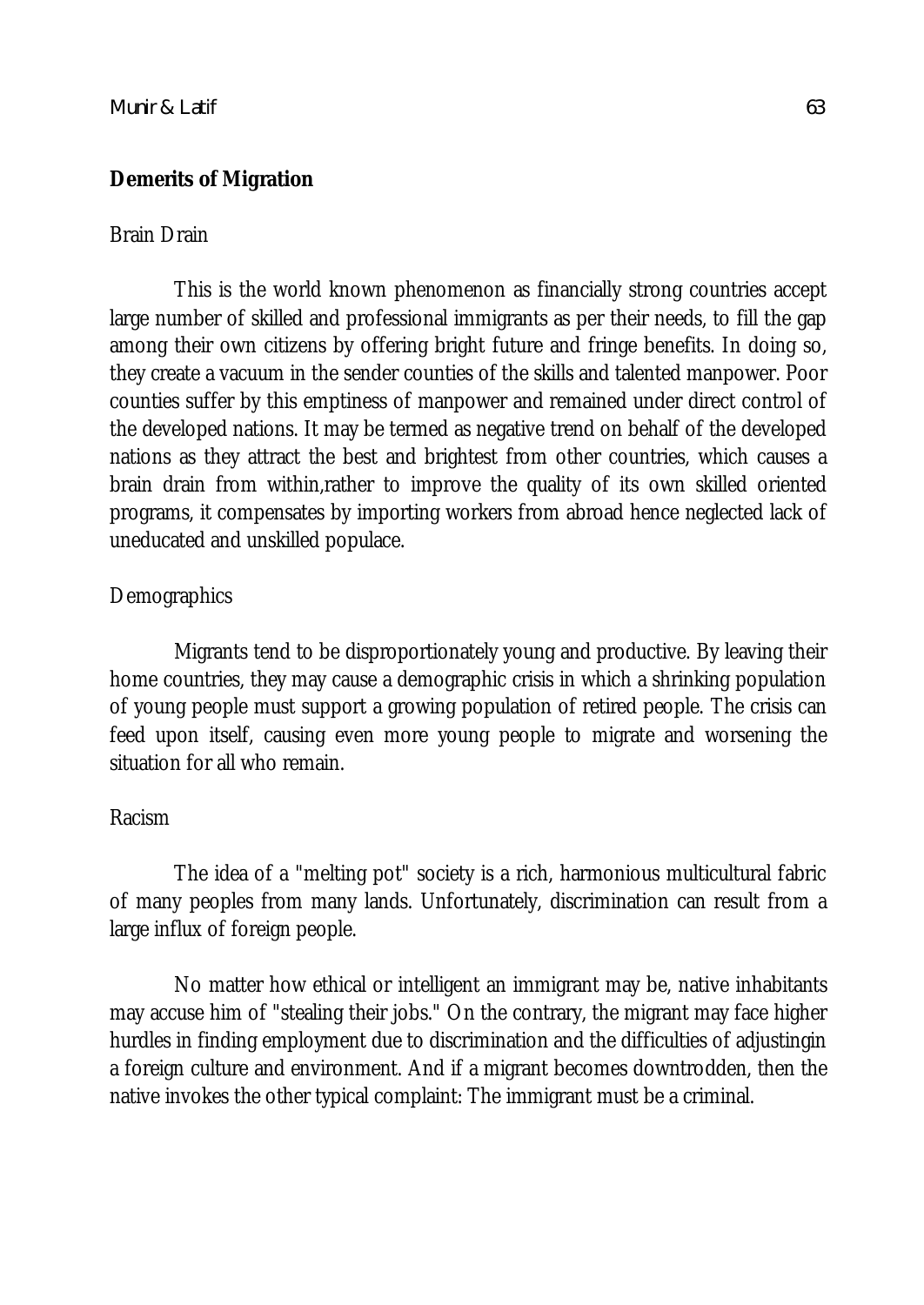#### **Demerits of Migration**

#### Brain Drain

This is the world known phenomenon as financially strong countries accept large number of skilled and professional immigrants as per their needs, to fill the gap among their own citizens by offering bright future and fringe benefits. In doing so, they create a vacuum in the sender counties of the skills and talented manpower. Poor counties suffer by this emptiness of manpower and remained under direct control of the developed nations. It may be termed as negative trend on behalf of the developed nations as they attract the best and brightest from other countries, which causes a brain drain from within,rather to improve the quality of its own skilled oriented programs, it compensates by importing workers from abroad hence neglected lack of uneducated and unskilled populace.

#### **Demographics**

Migrants tend to be disproportionately young and productive. By leaving their home countries, they may cause a demographic crisis in which a shrinking population of young people must support a growing population of retired people. The crisis can feed upon itself, causing even more young people to migrate and worsening the situation for all who remain.

#### Racism

The idea of a "melting pot" society is a rich, harmonious multicultural fabric of many peoples from many lands. Unfortunately, discrimination can result from a large influx of foreign people.

No matter how ethical or intelligent an immigrant may be, native inhabitants may accuse him of "stealing their jobs." On the contrary, the migrant may face higher hurdles in finding employment due to discrimination and the difficulties of adjustingin a foreign culture and environment. And if a migrant becomes downtrodden, then the native invokes the other typical complaint: The immigrant must be a criminal.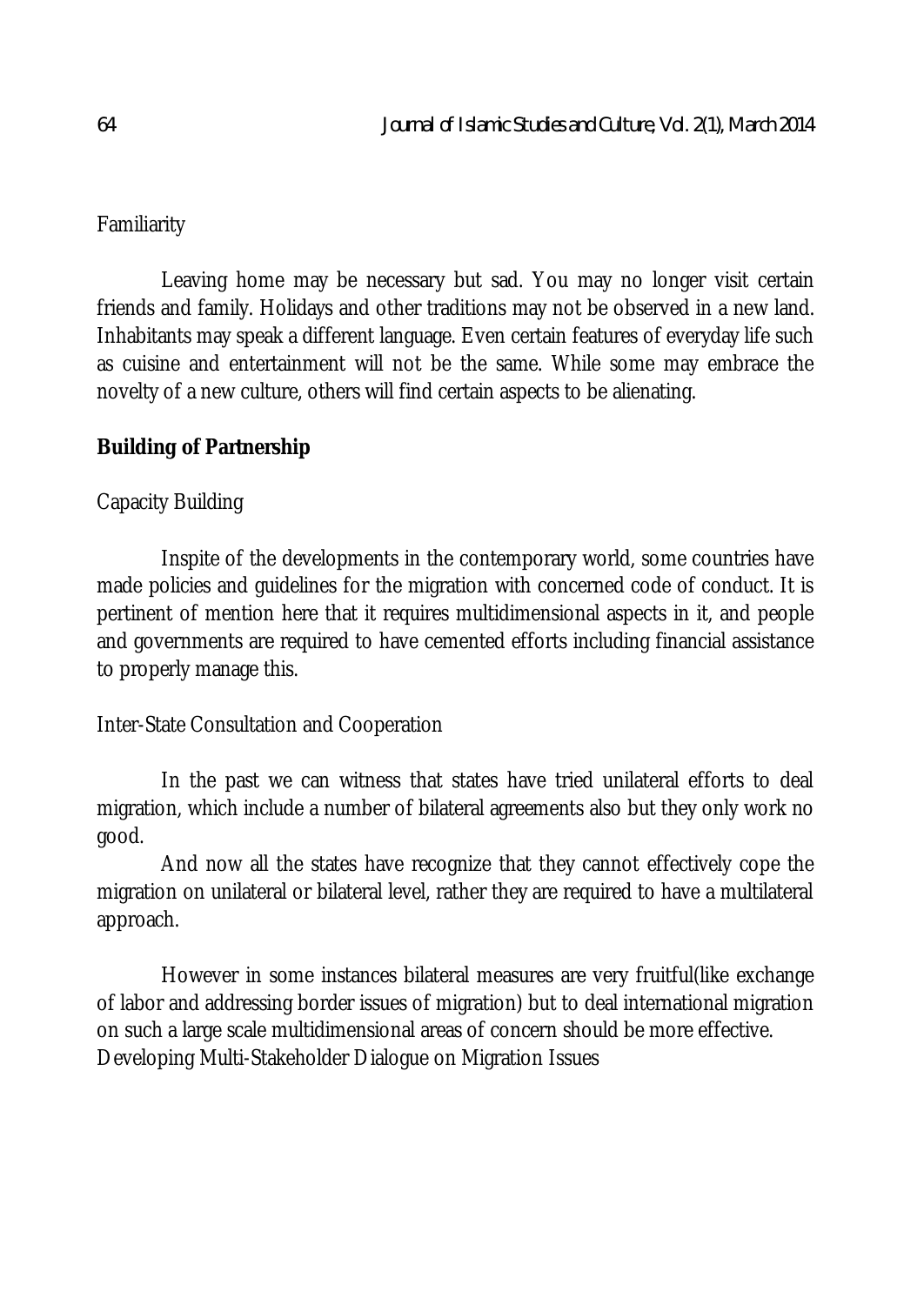## Familiarity

Leaving home may be necessary but sad. You may no longer visit certain friends and family. Holidays and other traditions may not be observed in a new land. Inhabitants may speak a different language. Even certain features of everyday life such as cuisine and entertainment will not be the same. While some may embrace the novelty of a new culture, others will find certain aspects to be alienating.

## **Building of Partnership**

### Capacity Building

Inspite of the developments in the contemporary world, some countries have made policies and guidelines for the migration with concerned code of conduct. It is pertinent of mention here that it requires multidimensional aspects in it, and people and governments are required to have cemented efforts including financial assistance to properly manage this.

Inter-State Consultation and Cooperation

In the past we can witness that states have tried unilateral efforts to deal migration, which include a number of bilateral agreements also but they only work no good.

And now all the states have recognize that they cannot effectively cope the migration on unilateral or bilateral level, rather they are required to have a multilateral approach.

However in some instances bilateral measures are very fruitful(like exchange of labor and addressing border issues of migration) but to deal international migration on such a large scale multidimensional areas of concern should be more effective. Developing Multi-Stakeholder Dialogue on Migration Issues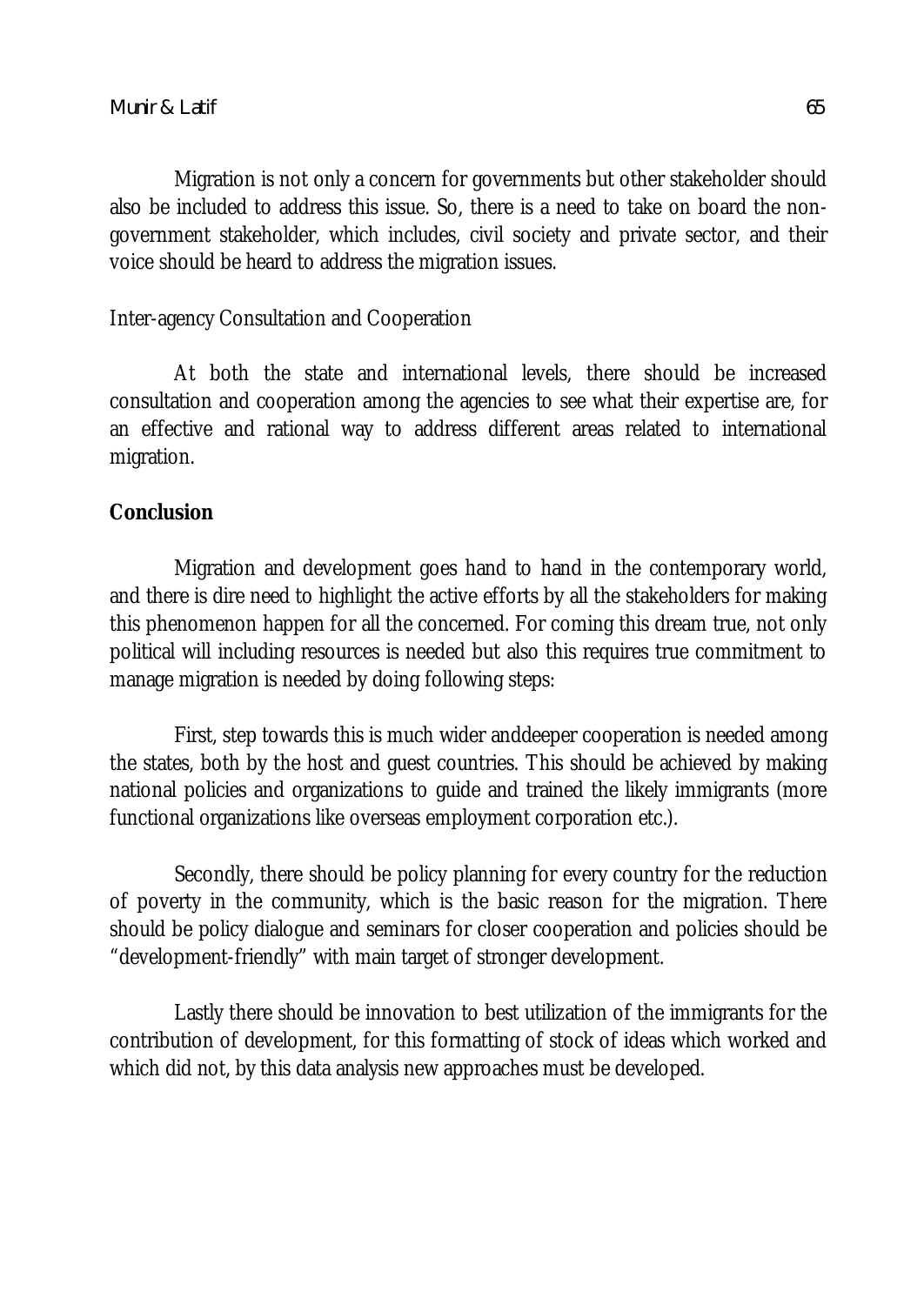Migration is not only a concern for governments but other stakeholder should also be included to address this issue. So, there is a need to take on board the nongovernment stakeholder, which includes, civil society and private sector, and their voice should be heard to address the migration issues.

Inter-agency Consultation and Cooperation

At both the state and international levels, there should be increased consultation and cooperation among the agencies to see what their expertise are, for an effective and rational way to address different areas related to international migration.

### **Conclusion**

Migration and development goes hand to hand in the contemporary world, and there is dire need to highlight the active efforts by all the stakeholders for making this phenomenon happen for all the concerned. For coming this dream true, not only political will including resources is needed but also this requires true commitment to manage migration is needed by doing following steps:

First, step towards this is much wider anddeeper cooperation is needed among the states, both by the host and guest countries. This should be achieved by making national policies and organizations to guide and trained the likely immigrants (more functional organizations like overseas employment corporation etc.).

Secondly, there should be policy planning for every country for the reduction of poverty in the community, which is the basic reason for the migration. There should be policy dialogue and seminars for closer cooperation and policies should be "development-friendly" with main target of stronger development.

Lastly there should be innovation to best utilization of the immigrants for the contribution of development, for this formatting of stock of ideas which worked and which did not, by this data analysis new approaches must be developed.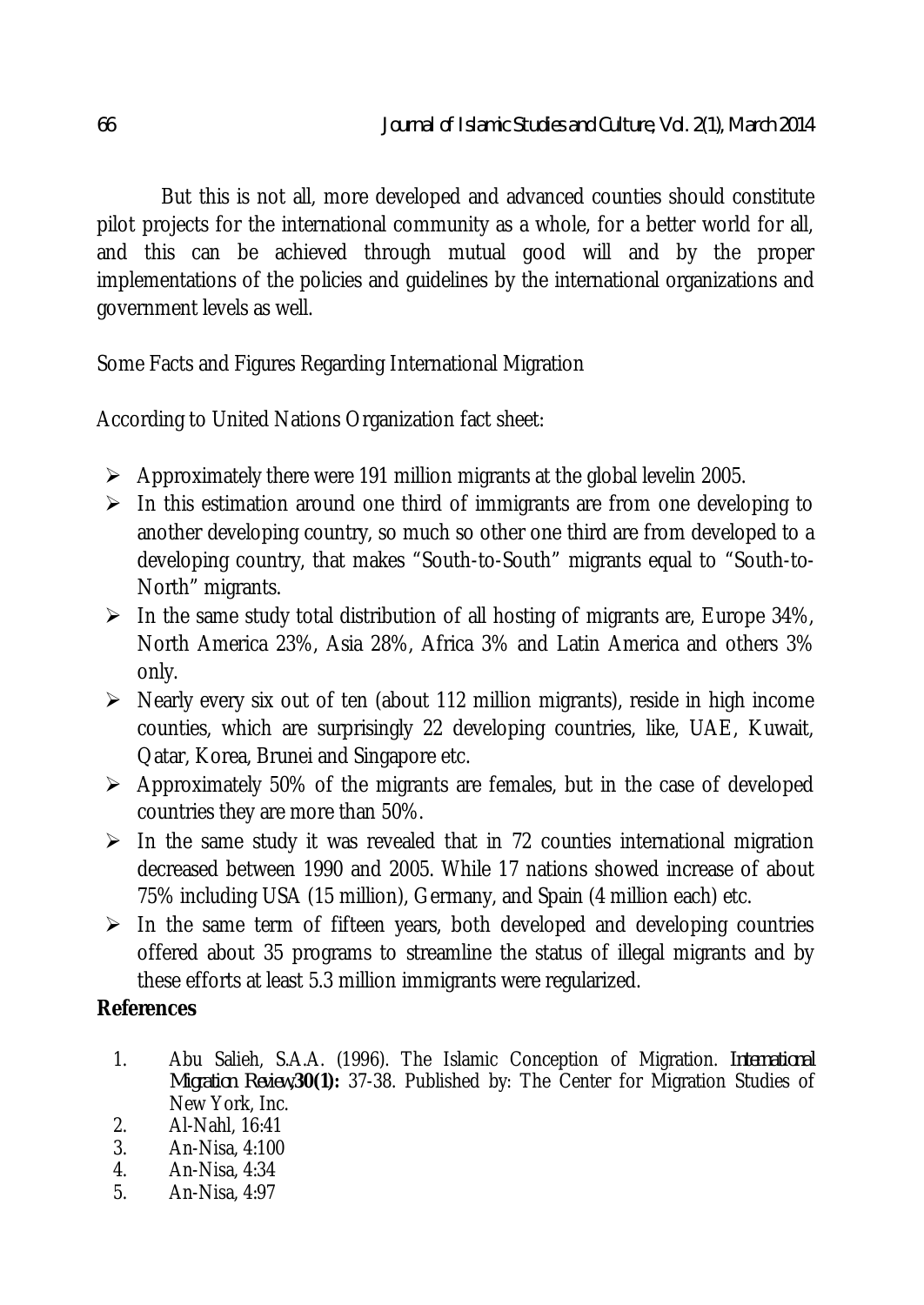But this is not all, more developed and advanced counties should constitute pilot projects for the international community as a whole, for a better world for all, and this can be achieved through mutual good will and by the proper implementations of the policies and guidelines by the international organizations and government levels as well.

Some Facts and Figures Regarding International Migration

According to United Nations Organization fact sheet:

- $\triangleright$  Approximately there were 191 million migrants at the global levelin 2005.
- $\triangleright$  In this estimation around one third of immigrants are from one developing to another developing country, so much so other one third are from developed to a developing country, that makes "South-to-South" migrants equal to "South-to-North" migrants.
- $\triangleright$  In the same study total distribution of all hosting of migrants are, Europe 34%, North America 23%, Asia 28%, Africa 3% and Latin America and others 3% only.
- $\triangleright$  Nearly every six out of ten (about 112 million migrants), reside in high income counties, which are surprisingly 22 developing countries, like, UAE, Kuwait, Qatar, Korea, Brunei and Singapore etc.
- $\triangleright$  Approximately 50% of the migrants are females, but in the case of developed countries they are more than 50%.
- $\triangleright$  In the same study it was revealed that in 72 counties international migration decreased between 1990 and 2005. While 17 nations showed increase of about 75% including USA (15 million), Germany, and Spain (4 million each) etc.
- $\triangleright$  In the same term of fifteen years, both developed and developing countries offered about 35 programs to streamline the status of illegal migrants and by these efforts at least 5.3 million immigrants were regularized.

## **References**

- 1. Abu Salieh, S.A.A. (1996). The Islamic Conception of Migration. *International Migration Review,***30(1):** 37-38. Published by: The Center for Migration Studies of New York, Inc.
- 2. **Al-Nahl**, 16:41<br>3. **An-Nisa**, 4:100
- 3. An-Nisa, 4:100
- 4. An-Nisa, 4:34
- 5. An-Nisa, 4:97